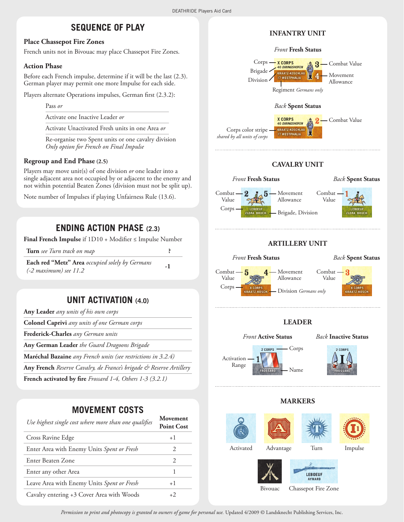## **SEQUENCE OF PLAY**

### **Place Chassepot Fire Zones**

French units not in Bivouac may place Chassepot Fire Zones.

#### **Action Phase**

Before each French impulse, determine if it will be the last (2.3). German player may permit one more Impulse for each side.

Players alternate Operations impulses, German first (2.3.2):

Pass *or*

Activate one Inactive Leader *or*

Activate Unactivated Fresh units in one Area *or*

Re-organise two Spent units or one cavalry division *Only option for French on Final Impulse*

### **Regroup and End Phase (2.5)**

Players may move unit(s) of one division *or* one leader into a single adjacent area not occupied by or adjacent to the enemy and not within potential Beaten Zones (division must not be split up).

Note number of Impulses if playing Unfairness Rule (13.6).

## **ending action phase (2.3)**

**Final French Impulse** if 1D10 + Modifier ≤ Impulse Number

|  | Turn see Turn track on map                             |                                                 |  |
|--|--------------------------------------------------------|-------------------------------------------------|--|
|  | $T \quad 1 \quad 1$ (at $\rightarrow$ 1) $\rightarrow$ | $\cdot$ $\cdot$ $\cdot$ $\cdot$ $\cdot$ $\cdot$ |  |

**Each red "Metz" Area** *occupied solely by Germans Call Ista below the solution of Solution 30.000 Sections* 

## **Unit activation (4.0)**

| Any Leader any units of his own corps                               |
|---------------------------------------------------------------------|
| <b>Colonel Caprivi</b> any units of one German corps                |
| <b>Frederick-Charles</b> any German units                           |
| Any German Leader the Guard Dragoons Brigade                        |
| Maréchal Bazaine any French units (see restrictions in 3.2.4)       |
| Any French Reserve Cavalry, de France's brigade & Reserve Artillery |
|                                                                     |

**French activated by fire** *Frossard 1-4, Others 1-3 (3.2.1)*

## **Movement Costs**

| Use highest single cost where more than one qualifies | Movement<br><b>Point Cost</b> |
|-------------------------------------------------------|-------------------------------|
| Cross Ravine Edge                                     | $+1$                          |
| Enter Area with Enemy Units Spent or Fresh            | $\mathcal{D}_{\cdot}$         |
| Enter Beaten Zone                                     | $\mathcal{D}_{\cdot}$         |
| Enter any other Area                                  |                               |
| Leave Area with Enemy Units Spent or Fresh            | $+1$                          |
| Cavalry entering +3 Cover Area with Woods             | $+2$                          |

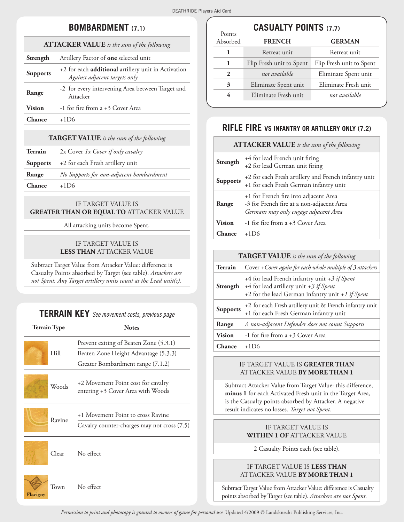Points

## **Bombardment (7.1)**

| <b>ATTACKER VALUE</b> is the sum of the following |                                                                                             |  |
|---------------------------------------------------|---------------------------------------------------------------------------------------------|--|
| Strength                                          | Artillery Factor of <b>one</b> selected unit                                                |  |
| <b>Supports</b>                                   | +2 for each <b>additional</b> artillery unit in Activation<br>Against adjacent targets only |  |
| Range                                             | -2 for every intervening Area between Target and<br>Attacker                                |  |
| <b>Vision</b>                                     | -1 for fire from a +3 Cover Area                                                            |  |
| Chance                                            | $+1D6$                                                                                      |  |

### **TARGET VALUE** is the sum of the following

- **Terrain** 2x Cover *1x Cover if only cavalry*
- **Supports** +2 for each Fresh artillery unit
- **Range** *No Supports for non-adjacent bombardment*

**Chance** +1D6

Flavigny

## if Target Value is **GREATER THAN OR EQUAL TO ATTACKER VALUE**

All attacking units become Spent.

### if Target Value is **less than** Attacker Value

Subtract Target Value from Attacker Value: difference is Casualty Points absorbed by Target (see table). *Attackers are not Spent. Any Target artillery units count as the Lead unit(s).*

# **Terrain Key** *See movement costs, previous page*

| <b>Terrain Type</b> |           | <b>Notes</b>                                                                     |  |
|---------------------|-----------|----------------------------------------------------------------------------------|--|
|                     |           | Prevent exiting of Beaten Zone (5.3.1)                                           |  |
| Hill                |           | Beaten Zone Height Advantage (5.3.3)                                             |  |
|                     |           | Greater Bombardment range (7.1.2)                                                |  |
| Woods               |           | +2 Movement Point cost for cavalry<br>entering +3 Cover Area with Woods          |  |
| Ravine              |           | +1 Movement Point to cross Ravine<br>Cavalry counter-charges may not cross (7.5) |  |
| Clear               | No effect |                                                                                  |  |
| Town                | No effect |                                                                                  |  |

## **casualty points (7.7)**

| Absorbed | <b>FRENCH</b>            | <b>GERMAN</b>            |
|----------|--------------------------|--------------------------|
|          | Retreat unit             | Retreat unit             |
| 1        | Flip Fresh unit to Spent | Flip Fresh unit to Spent |
| 2        | not available            | Eliminate Spent unit     |
| 3        | Eliminate Spent unit     | Eliminate Fresh unit     |
| 4        | Eliminate Fresh unit     | not available            |
|          |                          |                          |

## **rifle fire vs infantry or artillery only (7.2)**

### **Attacker Value** *is the sum of the following*

| Strength        | +4 for lead French unit firing<br>+2 for lead German unit firing                                                            |
|-----------------|-----------------------------------------------------------------------------------------------------------------------------|
| <b>Supports</b> | +2 for each Fresh artillery and French infantry unit<br>+1 for each Fresh German infantry unit                              |
| Range           | +1 for French fire into adjacent Area<br>-3 for French fire at a non-adjacent Area<br>Germans may only engage adjacent Area |
| <b>Vision</b>   | -1 for fire from a +3 Cover Area                                                                                            |
| Chance          | $+1D6$                                                                                                                      |

| <b>TARGET VALUE</b> is the sum of the following |                                                                                                                                            |  |
|-------------------------------------------------|--------------------------------------------------------------------------------------------------------------------------------------------|--|
| <b>Terrain</b>                                  | Cover + Cover again for each whole multiple of 3 attackers                                                                                 |  |
| Strength                                        | +4 for lead French infantry unit +3 if Spent<br>+4 for lead artillery unit +3 if Spent<br>+2 for the lead German infantry unit +1 if Spent |  |
| <b>Supports</b>                                 | +2 for each Fresh artillery unit & French infantry unit<br>+1 for each Fresh German infantry unit                                          |  |
| Range                                           | A non-adjacent Defender does not count Supports                                                                                            |  |
| <b>Vision</b>                                   | -1 for fire from a +3 Cover Area                                                                                                           |  |
| Chance                                          | $+1D6$                                                                                                                                     |  |

#### if Target Value is **greater than** Attacker Value **by more than 1**

Subtract Attacker Value from Target Value: this difference, **minus 1** for each Activated Fresh unit in the Target Area, is the Casualty points absorbed by Attacker. A negative result indicates no losses. *Target not Spent.*

## if Target Value is **WITHIN 1 OF ATTACKER VALUE**

2 Casualty Points each (see table).

## if Target Value is **less than** Attacker Value **by more than 1**

Subtract Target Value from Attacker Value: difference is Casualty points absorbed by Target (see table). *Attackers are not Spent.*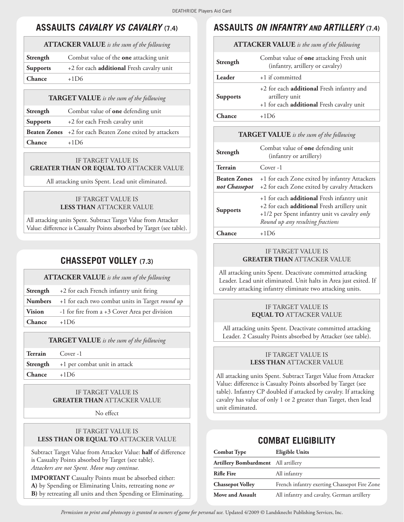## **assaults** *cavalry vs cavalry* **(7.4)**

## **Attacker Value** *is the sum of the following*

| Strength        | Combat value of the <b>one</b> attacking unit |
|-----------------|-----------------------------------------------|
| <b>Supports</b> | +2 for each additional Fresh cavalry unit     |
| <b>Chance</b>   | $+1D6$                                        |

### **TARGET VALUE** is the sum of the following

| Strength        | Combat value of <b>one</b> defending unit                       |
|-----------------|-----------------------------------------------------------------|
| <b>Supports</b> | +2 for each Fresh cavalry unit                                  |
|                 | <b>Beaten Zones</b> +2 for each Beaten Zone exited by attackers |
| Chance          | $+1D6$                                                          |

### if Target Value is **GREATER THAN OR EQUAL TO ATTACKER VALUE**

All attacking units Spent. Lead unit eliminated.

## if Target Value is **less than** Attacker Value

All attacking units Spent. Subtract Target Value from Attacker Value: difference is Casualty Points absorbed by Target (see table).

## **chassepot volley (7.3)**

### **Attacker Value** *is the sum of the following*

|               | <b>Strength</b> $+2$ for each French infantry unit firing             |
|---------------|-----------------------------------------------------------------------|
|               | <b>Numbers</b> +1 for each two combat units in Target <i>round up</i> |
| <b>Vision</b> | -1 for fire from a +3 Cover Area per division                         |
| Chance        | $+1D6$                                                                |

### **TARGET VALUE** is the sum of the following

**Terrain** Cover -1

|        | <b>Strength</b> +1 per combat unit in attack |
|--------|----------------------------------------------|
| Chance | $+1D6$                                       |

## if Target Value is **greater than** Attacker Value

No effect

## if Target Value is **less than or equal to** Attacker Value

Subtract Target Value from Attacker Value: **half** of difference is Casualty Points absorbed by Target (see table). *Attackers are not Spent. Move may continue.*

**IMPORTANT** Casualty Points must be absorbed either: **A)** by Spending or Eliminating Units, retreating none *or* **B)** by retreating all units and then Spending or Eliminating.

## **assaults** *on infantry and artillery* **(7.4)**

### **Attacker Value** *is the sum of the following*

| Strength        | Combat value of one attacking Fresh unit<br>(infantry, artillery or cavalry)                             |
|-----------------|----------------------------------------------------------------------------------------------------------|
| Leader          | +1 if committed                                                                                          |
| <b>Supports</b> | +2 for each additional Fresh infantry and<br>artillery unit<br>+1 for each additional Fresh cavalry unit |
| ``hance         | $+1D6$                                                                                                   |

### **TARGET VALUE** is the sum of the following

| Strength                             | Combat value of <b>one</b> defending unit<br>(infantry or artillery)                                                                                                                        |  |
|--------------------------------------|---------------------------------------------------------------------------------------------------------------------------------------------------------------------------------------------|--|
| Terrain                              | $Cover-1$                                                                                                                                                                                   |  |
| <b>Beaten Zones</b><br>not Chassepot | +1 for each Zone exited by infantry Attackers<br>+2 for each Zone exited by cavalry Attackers                                                                                               |  |
| <b>Supports</b>                      | +1 for each <b>additional</b> Fresh infantry unit<br>+2 for each <b>additional</b> Fresh artillery unit<br>+1/2 per Spent infantry unit vs cavalry only<br>Round up any resulting fractions |  |
| `.hance                              | $+1D6$                                                                                                                                                                                      |  |

#### if Target Value is **greater than** Attacker Value

All attacking units Spent. Deactivate committed attacking Leader. Lead unit eliminated. Unit halts in Area just exited. If cavalry attacking infantry eliminate two attacking units.

### if Target Value is **equal to** Attacker Value

All attacking units Spent. Deactivate committed attacking Leader. 2 Casualty Points absorbed by Attacker (see table).

## if Target Value is **less than** Attacker Value

All attacking units Spent. Subtract Target Value from Attacker Value: difference is Casualty Points absorbed by Target (see table). Infantry CP doubled if attacked by cavalry. If attacking cavalry has value of only 1 or 2 greater than Target, then lead unit eliminated.

## **combat eligibility**

| <b>Combat Type</b>                         | <b>Eligible Units</b>                        |
|--------------------------------------------|----------------------------------------------|
| <b>Artillery Bombardment</b> All artillery |                                              |
| <b>Rifle Fire</b>                          | All infantry                                 |
| <b>Chassepot Volley</b>                    | French infantry exerting Chassepot Fire Zone |
| Move and Assault                           | All infantry and cavalry, German artillery   |